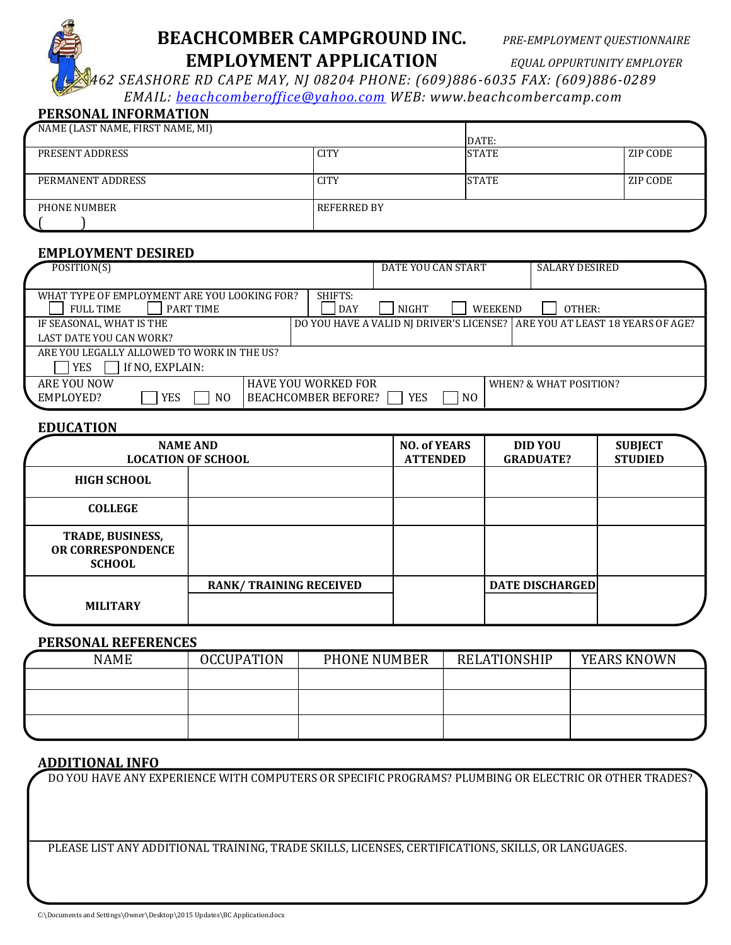

# **BEACHCOMBER CAMPGROUND INC.** *PRE-EMPLOYMENT QUESTIONNAIRE* **EMPLOYMENT APPLICATION** *EQUAL OPPURTUNITY EMPLOYER*

*462 SEASHORE RD CAPE MAY, NJ 08204 PHONE: (609)886-6035 FAX: (609)886-0289 EMAIL: [beachcomberoffice@yahoo.com](mailto:beachcomberoffice@yahoo.com) WEB: www.beachcombercamp.com*

## **PERSONAL INFORMATION**

| NAME (LAST NAME, FIRST NAME, MI) |                    |        |          |
|----------------------------------|--------------------|--------|----------|
|                                  |                    | IDATE: |          |
| PRESENT ADDRESS                  | <b>CITY</b>        | ISTATE | ZIP CODE |
|                                  |                    |        |          |
| PERMANENT ADDRESS                | <b>CITY</b>        | ISTATE | ZIP CODE |
|                                  |                    |        |          |
| PHONE NUMBER                     | <b>REFERRED BY</b> |        |          |
|                                  |                    |        |          |
|                                  |                    |        |          |

### **EMPLOYMENT DESIRED**

| POSITION(S)                                                                   |                                                          | DATE YOU CAN START |                |         | <b>SALARY DESIRED</b>                                                        |  |
|-------------------------------------------------------------------------------|----------------------------------------------------------|--------------------|----------------|---------|------------------------------------------------------------------------------|--|
| WHAT TYPE OF EMPLOYMENT ARE YOU LOOKING FOR?<br><b>FULL TIME</b><br>PART TIME | SHIFTS:<br><b>DAY</b>                                    | <b>NIGHT</b>       |                | WEEKEND | OTHER:                                                                       |  |
| IF SEASONAL, WHAT IS THE                                                      |                                                          |                    |                |         | DO YOU HAVE A VALID NJ DRIVER'S LICENSE?   ARE YOU AT LEAST 18 YEARS OF AGE? |  |
| LAST DATE YOU CAN WORK?                                                       |                                                          |                    |                |         |                                                                              |  |
| ARE YOU LEGALLY ALLOWED TO WORK IN THE US?                                    |                                                          |                    |                |         |                                                                              |  |
| If NO, EXPLAIN:<br><b>YES</b>                                                 |                                                          |                    |                |         |                                                                              |  |
| ARE YOU NOW<br>EMPLOYED?<br>YES<br>N <sub>0</sub>                             | <b>HAVE YOU WORKED FOR</b><br><b>BEACHCOMBER BEFORE?</b> | YES                | N <sub>O</sub> |         | WHEN? & WHAT POSITION?                                                       |  |

## **EDUCATION**

| <b>NAME AND</b><br><b>LOCATION OF SCHOOL</b>                         | <b>NO. of YEARS</b><br><b>ATTENDED</b> | <b>DID YOU</b><br><b>GRADUATE?</b> | <b>SUBJECT</b><br><b>STUDIED</b> |  |
|----------------------------------------------------------------------|----------------------------------------|------------------------------------|----------------------------------|--|
| <b>HIGH SCHOOL</b>                                                   |                                        |                                    |                                  |  |
| <b>COLLEGE</b>                                                       |                                        |                                    |                                  |  |
| <b>TRADE, BUSINESS,</b><br><b>OR CORRESPONDENCE</b><br><b>SCHOOL</b> |                                        |                                    |                                  |  |
|                                                                      | <b>RANK/TRAINING RECEIVED</b>          |                                    | <b>DATE DISCHARGED</b>           |  |
| <b>MILITARY</b>                                                      |                                        |                                    |                                  |  |

#### **PERSONAL REFERENCES**

| <b>NAME</b> | <b>OCCUPATION</b> | PHONE NUMBER | <b>RELATIONSHIP</b> | <b>YEARS KNOWN</b> |  |
|-------------|-------------------|--------------|---------------------|--------------------|--|
|             |                   |              |                     |                    |  |
|             |                   |              |                     |                    |  |
|             |                   |              |                     |                    |  |
|             |                   |              |                     |                    |  |

### **ADDITIONAL INFO**

DO YOU HAVE ANY EXPERIENCE WITH COMPUTERS OR SPECIFIC PROGRAMS? PLUMBING OR ELECTRIC OR OTHER TRADES?

PLEASE LIST ANY ADDITIONAL TRAINING, TRADE SKILLS, LICENSES, CERTIFICATIONS, SKILLS, OR LANGUAGES.